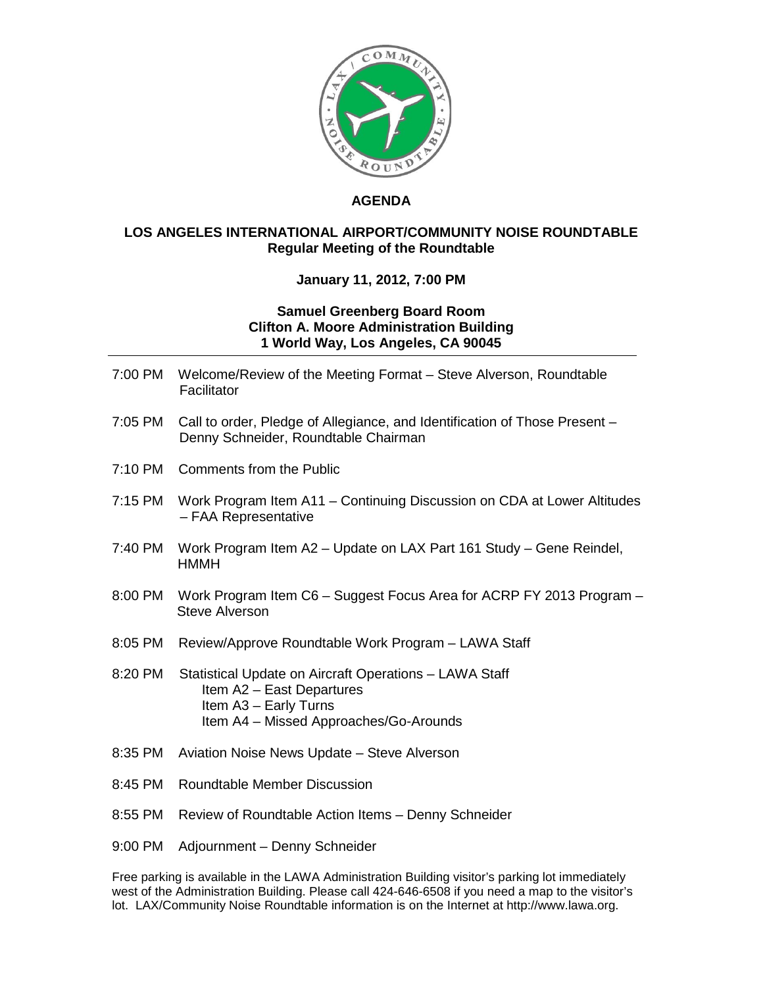

## **AGENDA**

## **LOS ANGELES INTERNATIONAL AIRPORT/COMMUNITY NOISE ROUNDTABLE Regular Meeting of the Roundtable**

## **January 11, 2012, 7:00 PM**

## **Samuel Greenberg Board Room Clifton A. Moore Administration Building 1 World Way, Los Angeles, CA 90045**

| 7:00 PM | Welcome/Review of the Meeting Format - Steve Alverson, Roundtable<br>Facilitator                                                                       |
|---------|--------------------------------------------------------------------------------------------------------------------------------------------------------|
| 7:05 PM | Call to order, Pledge of Allegiance, and Identification of Those Present -<br>Denny Schneider, Roundtable Chairman                                     |
| 7:10 PM | <b>Comments from the Public</b>                                                                                                                        |
| 7:15 PM | Work Program Item A11 - Continuing Discussion on CDA at Lower Altitudes<br>- FAA Representative                                                        |
| 7:40 PM | Work Program Item A2 - Update on LAX Part 161 Study - Gene Reindel,<br><b>HMMH</b>                                                                     |
| 8:00 PM | Work Program Item C6 - Suggest Focus Area for ACRP FY 2013 Program -<br><b>Steve Alverson</b>                                                          |
| 8:05 PM | Review/Approve Roundtable Work Program - LAWA Staff                                                                                                    |
| 8:20 PM | Statistical Update on Aircraft Operations - LAWA Staff<br>Item A2 - East Departures<br>Item A3 - Early Turns<br>Item A4 - Missed Approaches/Go-Arounds |
| 8:35 PM | Aviation Noise News Update - Steve Alverson                                                                                                            |
| 8:45 PM | <b>Roundtable Member Discussion</b>                                                                                                                    |
| 8:55 PM | Review of Roundtable Action Items - Denny Schneider                                                                                                    |

9:00 PM Adjournment – Denny Schneider

Free parking is available in the LAWA Administration Building visitor's parking lot immediately west of the Administration Building. Please call 424-646-6508 if you need a map to the visitor's lot. LAX/Community Noise Roundtable information is on the Internet at http://www.lawa.org.